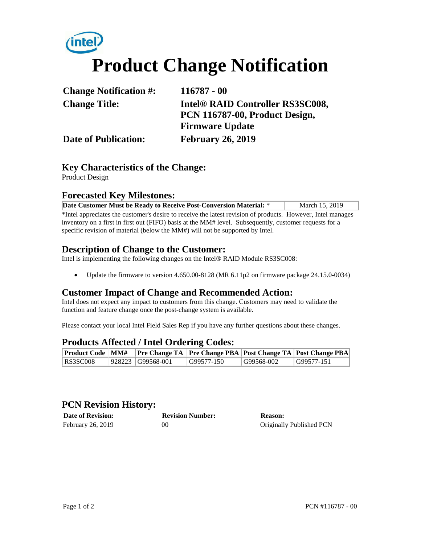# **Product Change Notification**

| <b>Change Notification #:</b> | $116787 - 00$                                |  |
|-------------------------------|----------------------------------------------|--|
| <b>Change Title:</b>          | Intel <sup>®</sup> RAID Controller RS3SC008, |  |
|                               | PCN 116787-00, Product Design,               |  |
|                               | <b>Firmware Update</b>                       |  |
| <b>Date of Publication:</b>   | <b>February 26, 2019</b>                     |  |

## **Key Characteristics of the Change:**

Product Design

#### **Forecasted Key Milestones:**

| Date Customer Must be Ready to Receive Post-Conversion Material: * | March 15, 2019 |
|--------------------------------------------------------------------|----------------|

\*Intel appreciates the customer's desire to receive the latest revision of products. However, Intel manages inventory on a first in first out (FIFO) basis at the MM# level. Subsequently, customer requests for a specific revision of material (below the MM#) will not be supported by Intel.

#### **Description of Change to the Customer:**

Intel is implementing the following changes on the Intel® RAID Module RS3SC008:

Update the firmware to version 4.650.00-8128 (MR 6.11p2 on firmware package 24.15.0-0034)

#### **Customer Impact of Change and Recommended Action:**

Intel does not expect any impact to customers from this change. Customers may need to validate the function and feature change once the post-change system is available.

Please contact your local Intel Field Sales Rep if you have any further questions about these changes.

#### **Products Affected / Intel Ordering Codes:**

| <b>Product Code   MM#</b> |                   |            |            | <b>Pre Change TA Pre Change PBA Post Change TA Post Change PBA</b> |
|---------------------------|-------------------|------------|------------|--------------------------------------------------------------------|
| <b>RS3SC008</b>           | 928223 G99568-001 | G99577-150 | G99568-002 | G99577-151                                                         |

## **PCN Revision History:**

| <b>Date of Revision:</b> | <b>Revision Number:</b> | <b>Reason:</b>           |
|--------------------------|-------------------------|--------------------------|
| February 26, 2019        | 00                      | Originally Published PCN |